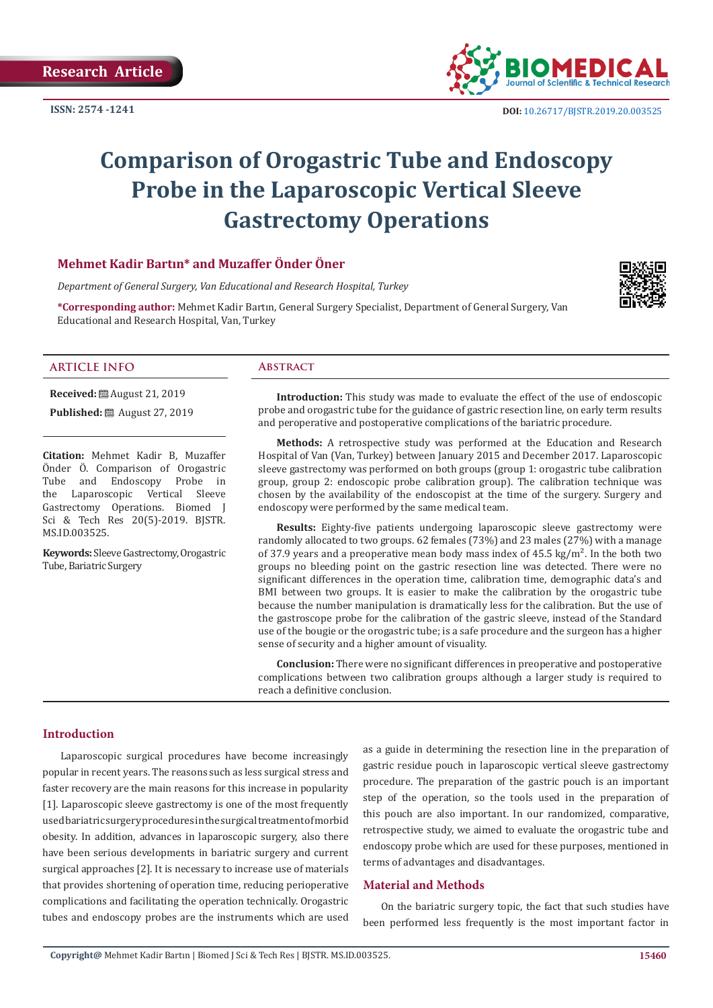

# **Comparison of Orogastric Tube and Endoscopy Probe in the Laparoscopic Vertical Sleeve Gastrectomy Operations**

# **Mehmet Kadir Bartın\* and Muzaffer Önder Öner**

*Department of General Surgery, Van Educational and Research Hospital, Turkey* 

**\*Corresponding author:** Mehmet Kadir Bartın, General Surgery Specialist, Department of General Surgery, Van Educational and Research Hospital, Van, Turkey



# **ARTICLE INFO Abstract**

**Received:** ■ August 21, 2019 **Published:** ■ August 27, 2019

**Citation:** Mehmet Kadir B, Muzaffer Önder Ö. Comparison of Orogastric Tube and Endoscopy Probe in<br>the Laparoscopic Vertical Sleeve Laparoscopic Vertical Gastrectomy Operations. Biomed J Sci & Tech Res 20(5)-2019. BJSTR. MS.ID.003525.

**Keywords:** Sleeve Gastrectomy, Orogastric Tube, Bariatric Surgery

**Introduction:** This study was made to evaluate the effect of the use of endoscopic probe and orogastric tube for the guidance of gastric resection line, on early term results and peroperative and postoperative complications of the bariatric procedure.

**Methods:** A retrospective study was performed at the Education and Research Hospital of Van (Van, Turkey) between January 2015 and December 2017. Laparoscopic sleeve gastrectomy was performed on both groups (group 1: orogastric tube calibration group, group 2: endoscopic probe calibration group). The calibration technique was chosen by the availability of the endoscopist at the time of the surgery. Surgery and endoscopy were performed by the same medical team.

**Results:** Eighty-five patients undergoing laparoscopic sleeve gastrectomy were randomly allocated to two groups. 62 females (73%) and 23 males (27%) with a manage of 37.9 years and a preoperative mean body mass index of  $45.5 \text{ kg/m}^2$ . In the both two groups no bleeding point on the gastric resection line was detected. There were no significant differences in the operation time, calibration time, demographic data's and BMI between two groups. It is easier to make the calibration by the orogastric tube because the number manipulation is dramatically less for the calibration. But the use of the gastroscope probe for the calibration of the gastric sleeve, instead of the Standard use of the bougie or the orogastric tube; is a safe procedure and the surgeon has a higher sense of security and a higher amount of visuality.

**Conclusion:** There were no significant differences in preoperative and postoperative complications between two calibration groups although a larger study is required to reach a definitive conclusion.

# **Introduction**

Laparoscopic surgical procedures have become increasingly popular in recent years. The reasons such as less surgical stress and faster recovery are the main reasons for this increase in popularity [1]. Laparoscopic sleeve gastrectomy is one of the most frequently used bariatric surgery procedures in the surgical treatment of morbid obesity. In addition, advances in laparoscopic surgery, also there have been serious developments in bariatric surgery and current surgical approaches [2]. It is necessary to increase use of materials that provides shortening of operation time, reducing perioperative complications and facilitating the operation technically. Orogastric tubes and endoscopy probes are the instruments which are used

as a guide in determining the resection line in the preparation of gastric residue pouch in laparoscopic vertical sleeve gastrectomy procedure. The preparation of the gastric pouch is an important step of the operation, so the tools used in the preparation of this pouch are also important. In our randomized, comparative, retrospective study, we aimed to evaluate the orogastric tube and endoscopy probe which are used for these purposes, mentioned in terms of advantages and disadvantages.

# **Material and Methods**

On the bariatric surgery topic, the fact that such studies have been performed less frequently is the most important factor in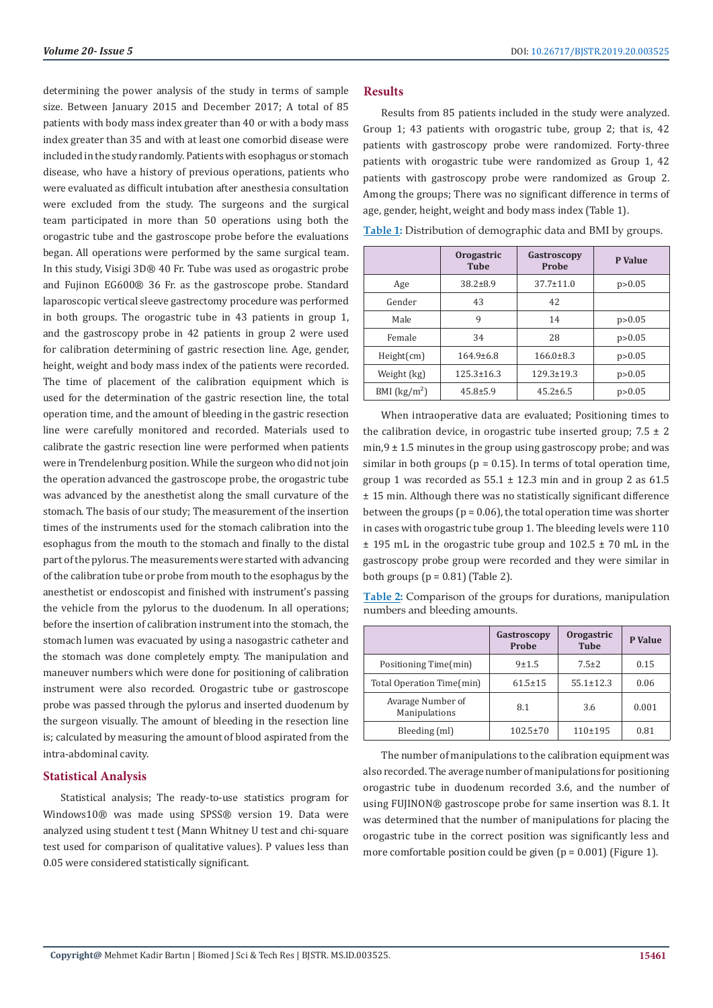determining the power analysis of the study in terms of sample size. Between January 2015 and December 2017; A total of 85 patients with body mass index greater than 40 or with a body mass index greater than 35 and with at least one comorbid disease were included in the study randomly. Patients with esophagus or stomach disease, who have a history of previous operations, patients who were evaluated as difficult intubation after anesthesia consultation were excluded from the study. The surgeons and the surgical team participated in more than 50 operations using both the orogastric tube and the gastroscope probe before the evaluations began. All operations were performed by the same surgical team. In this study, Visigi 3D® 40 Fr. Tube was used as orogastric probe and Fujinon EG600® 36 Fr. as the gastroscope probe. Standard laparoscopic vertical sleeve gastrectomy procedure was performed in both groups. The orogastric tube in 43 patients in group 1, and the gastroscopy probe in 42 patients in group 2 were used for calibration determining of gastric resection line. Age, gender, height, weight and body mass index of the patients were recorded. The time of placement of the calibration equipment which is used for the determination of the gastric resection line, the total operation time, and the amount of bleeding in the gastric resection line were carefully monitored and recorded. Materials used to calibrate the gastric resection line were performed when patients were in Trendelenburg position. While the surgeon who did not join the operation advanced the gastroscope probe, the orogastric tube was advanced by the anesthetist along the small curvature of the stomach. The basis of our study; The measurement of the insertion times of the instruments used for the stomach calibration into the esophagus from the mouth to the stomach and finally to the distal part of the pylorus. The measurements were started with advancing of the calibration tube or probe from mouth to the esophagus by the anesthetist or endoscopist and finished with instrument's passing the vehicle from the pylorus to the duodenum. In all operations; before the insertion of calibration instrument into the stomach, the stomach lumen was evacuated by using a nasogastric catheter and the stomach was done completely empty. The manipulation and maneuver numbers which were done for positioning of calibration instrument were also recorded. Orogastric tube or gastroscope probe was passed through the pylorus and inserted duodenum by the surgeon visually. The amount of bleeding in the resection line is; calculated by measuring the amount of blood aspirated from the intra-abdominal cavity.

#### **Statistical Analysis**

Statistical analysis; The ready-to-use statistics program for Windows10® was made using SPSS® version 19. Data were analyzed using student t test (Mann Whitney U test and chi-square test used for comparison of qualitative values). P values less than 0.05 were considered statistically significant.

### **Results**

Results from 85 patients included in the study were analyzed. Group 1; 43 patients with orogastric tube, group 2; that is, 42 patients with gastroscopy probe were randomized. Forty-three patients with orogastric tube were randomized as Group 1, 42 patients with gastroscopy probe were randomized as Group 2. Among the groups; There was no significant difference in terms of age, gender, height, weight and body mass index (Table 1).

|                                                 | Orogastric<br><b>Tube</b> | Gastroscopy<br>Probe | P Value  |  |
|-------------------------------------------------|---------------------------|----------------------|----------|--|
| Age                                             | $38.2 \pm 8.9$            | $37.7 \pm 11.0$      | p > 0.05 |  |
| Gender                                          | 43                        | 42                   |          |  |
| Male                                            | 9                         | 14                   | p > 0.05 |  |
| Female                                          | 34                        | 28                   | p > 0.05 |  |
| Height(cm)                                      | $164.9 \pm 6.8$           | $166.0\pm8.3$        | p > 0.05 |  |
| Weight (kg)                                     | $125.3 \pm 16.3$          | $129.3 \pm 19.3$     | p > 0.05 |  |
| BMI $\left(\frac{\text{kg}}{\text{m}^2}\right)$ | $45.8 \pm 5.9$            | $45.2 \pm 6.5$       | p > 0.05 |  |

**Table 1:** Distribution of demographic data and BMI by groups.

When intraoperative data are evaluated; Positioning times to the calibration device, in orogastric tube inserted group;  $7.5 \pm 2$  $\min$ ,  $9 \pm 1.5$  minutes in the group using gastroscopy probe; and was similar in both groups ( $p = 0.15$ ). In terms of total operation time, group 1 was recorded as  $55.1 \pm 12.3$  min and in group 2 as 61.5 ± 15 min. Although there was no statistically significant difference between the groups ( $p = 0.06$ ), the total operation time was shorter in cases with orogastric tube group 1. The bleeding levels were 110  $\pm$  195 mL in the orogastric tube group and 102.5  $\pm$  70 mL in the gastroscopy probe group were recorded and they were similar in both groups ( $p = 0.81$ ) (Table 2).

**Table 2:** Comparison of the groups for durations, manipulation numbers and bleeding amounts.

|                                    | Gastroscopy<br>Probe | Orogastric<br><b>Tube</b> | P Value |
|------------------------------------|----------------------|---------------------------|---------|
| Positioning Time(min)              | $9 + 1.5$            | $7.5 \pm 2$               | 0.15    |
| Total Operation Time(min)          | $61.5 \pm 15$        | $55.1 \pm 12.3$           | 0.06    |
| Avarage Number of<br>Manipulations | 8.1                  | 3.6                       | 0.001   |
| Bleeding (ml)                      | $102.5 \pm 70$       | $110+195$                 | 0.81    |

The number of manipulations to the calibration equipment was also recorded. The average number of manipulations for positioning orogastric tube in duodenum recorded 3.6, and the number of using FUJINON® gastroscope probe for same insertion was 8.1. It was determined that the number of manipulations for placing the orogastric tube in the correct position was significantly less and more comfortable position could be given  $(p = 0.001)$  (Figure 1).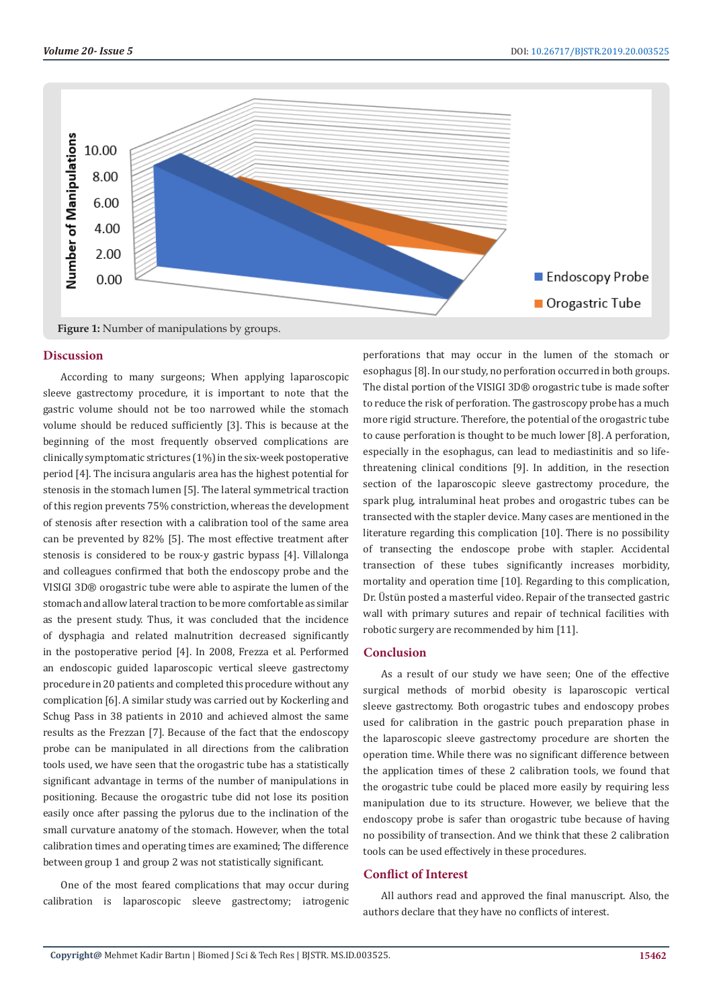

#### **Discussion**

According to many surgeons; When applying laparoscopic sleeve gastrectomy procedure, it is important to note that the gastric volume should not be too narrowed while the stomach volume should be reduced sufficiently [3]. This is because at the beginning of the most frequently observed complications are clinically symptomatic strictures (1%) in the six-week postoperative period [4]. The incisura angularis area has the highest potential for stenosis in the stomach lumen [5]. The lateral symmetrical traction of this region prevents 75% constriction, whereas the development of stenosis after resection with a calibration tool of the same area can be prevented by 82% [5]. The most effective treatment after stenosis is considered to be roux-y gastric bypass [4]. Villalonga and colleagues confirmed that both the endoscopy probe and the VISIGI 3D® orogastric tube were able to aspirate the lumen of the stomach and allow lateral traction to be more comfortable as similar as the present study. Thus, it was concluded that the incidence of dysphagia and related malnutrition decreased significantly in the postoperative period [4]. In 2008, Frezza et al. Performed an endoscopic guided laparoscopic vertical sleeve gastrectomy procedure in 20 patients and completed this procedure without any complication [6]. A similar study was carried out by Kockerling and Schug Pass in 38 patients in 2010 and achieved almost the same results as the Frezzan [7]. Because of the fact that the endoscopy probe can be manipulated in all directions from the calibration tools used, we have seen that the orogastric tube has a statistically significant advantage in terms of the number of manipulations in positioning. Because the orogastric tube did not lose its position easily once after passing the pylorus due to the inclination of the small curvature anatomy of the stomach. However, when the total calibration times and operating times are examined; The difference between group 1 and group 2 was not statistically significant.

One of the most feared complications that may occur during calibration is laparoscopic sleeve gastrectomy; iatrogenic perforations that may occur in the lumen of the stomach or esophagus [8]. In our study, no perforation occurred in both groups. The distal portion of the VISIGI 3D® orogastric tube is made softer to reduce the risk of perforation. The gastroscopy probe has a much more rigid structure. Therefore, the potential of the orogastric tube to cause perforation is thought to be much lower [8]. A perforation, especially in the esophagus, can lead to mediastinitis and so lifethreatening clinical conditions [9]. In addition, in the resection section of the laparoscopic sleeve gastrectomy procedure, the spark plug, intraluminal heat probes and orogastric tubes can be transected with the stapler device. Many cases are mentioned in the literature regarding this complication [10]. There is no possibility of transecting the endoscope probe with stapler. Accidental transection of these tubes significantly increases morbidity, mortality and operation time [10]. Regarding to this complication, Dr. Üstün posted a masterful video. Repair of the transected gastric wall with primary sutures and repair of technical facilities with robotic surgery are recommended by him [11].

# **Conclusion**

As a result of our study we have seen; One of the effective surgical methods of morbid obesity is laparoscopic vertical sleeve gastrectomy. Both orogastric tubes and endoscopy probes used for calibration in the gastric pouch preparation phase in the laparoscopic sleeve gastrectomy procedure are shorten the operation time. While there was no significant difference between the application times of these 2 calibration tools, we found that the orogastric tube could be placed more easily by requiring less manipulation due to its structure. However, we believe that the endoscopy probe is safer than orogastric tube because of having no possibility of transection. And we think that these 2 calibration tools can be used effectively in these procedures.

# **Conflict of Interest**

All authors read and approved the final manuscript. Also, the authors declare that they have no conflicts of interest.